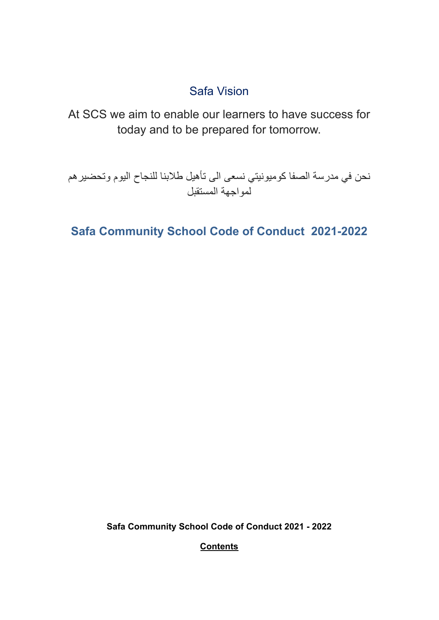# Safa Vision

At SCS we aim to enable our learners to have success for today and to be prepared for tomorrow.

نحن في مدرسة الصفا كوميونيتي نسعى الى تأهيل طالبنا للنجاح اليوم وتحضيرهم لمواجهة المستقبل

**Safa Community School Code of Conduct 2021-2022**

**Safa Community School Code of Conduct 2021 - 2022**

**Contents**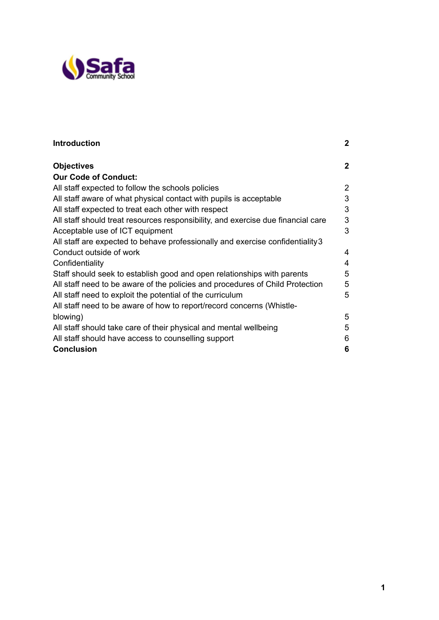

| $\mathbf 2$    |
|----------------|
| $\mathbf 2$    |
|                |
| $\overline{2}$ |
| 3              |
| 3              |
| 3              |
| 3              |
|                |
| 4              |
| 4              |
| 5              |
| 5              |
| 5              |
|                |
| 5              |
| 5              |
| 6              |
| 6              |
|                |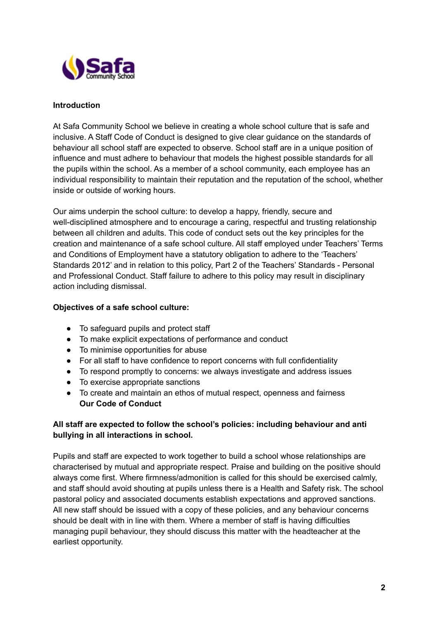

## **Introduction**

At Safa Community School we believe in creating a whole school culture that is safe and inclusive. A Staff Code of Conduct is designed to give clear guidance on the standards of behaviour all school staff are expected to observe. School staff are in a unique position of influence and must adhere to behaviour that models the highest possible standards for all the pupils within the school. As a member of a school community, each employee has an individual responsibility to maintain their reputation and the reputation of the school, whether inside or outside of working hours.

Our aims underpin the school culture: to develop a happy, friendly, secure and well-disciplined atmosphere and to encourage a caring, respectful and trusting relationship between all children and adults. This code of conduct sets out the key principles for the creation and maintenance of a safe school culture. All staff employed under Teachers' Terms and Conditions of Employment have a statutory obligation to adhere to the 'Teachers' Standards 2012' and in relation to this policy, Part 2 of the Teachers' Standards - Personal and Professional Conduct. Staff failure to adhere to this policy may result in disciplinary action including dismissal.

## **Objectives of a safe school culture:**

- To safeguard pupils and protect staff
- To make explicit expectations of performance and conduct
- To minimise opportunities for abuse
- For all staff to have confidence to report concerns with full confidentiality
- To respond promptly to concerns: we always investigate and address issues
- To exercise appropriate sanctions
- To create and maintain an ethos of mutual respect, openness and fairness **Our Code of Conduct**

## **All staff are expected to follow the school's policies: including behaviour and anti bullying in all interactions in school.**

Pupils and staff are expected to work together to build a school whose relationships are characterised by mutual and appropriate respect. Praise and building on the positive should always come first. Where firmness/admonition is called for this should be exercised calmly, and staff should avoid shouting at pupils unless there is a Health and Safety risk. The school pastoral policy and associated documents establish expectations and approved sanctions. All new staff should be issued with a copy of these policies, and any behaviour concerns should be dealt with in line with them. Where a member of staff is having difficulties managing pupil behaviour, they should discuss this matter with the headteacher at the earliest opportunity.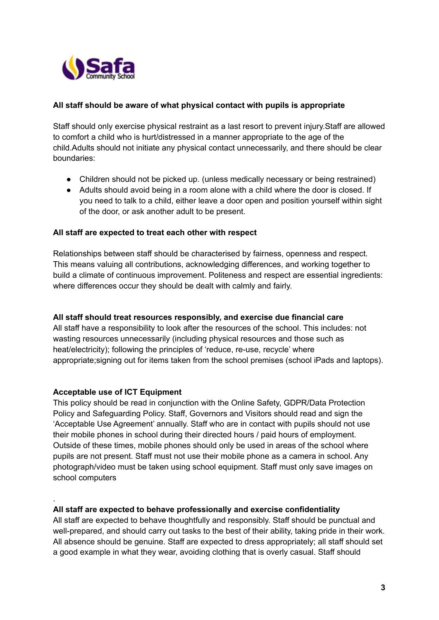

## **All staff should be aware of what physical contact with pupils is appropriate**

Staff should only exercise physical restraint as a last resort to prevent injury.Staff are allowed to comfort a child who is hurt/distressed in a manner appropriate to the age of the child.Adults should not initiate any physical contact unnecessarily, and there should be clear boundaries:

- Children should not be picked up. (unless medically necessary or being restrained)
- Adults should avoid being in a room alone with a child where the door is closed. If you need to talk to a child, either leave a door open and position yourself within sight of the door, or ask another adult to be present.

#### **All staff are expected to treat each other with respect**

Relationships between staff should be characterised by fairness, openness and respect. This means valuing all contributions, acknowledging differences, and working together to build a climate of continuous improvement. Politeness and respect are essential ingredients: where differences occur they should be dealt with calmly and fairly.

#### **All staff should treat resources responsibly, and exercise due financial care**

All staff have a responsibility to look after the resources of the school. This includes: not wasting resources unnecessarily (including physical resources and those such as heat/electricity); following the principles of 'reduce, re-use, recycle' where appropriate;signing out for items taken from the school premises (school iPads and laptops).

#### **Acceptable use of ICT Equipment**

.

This policy should be read in conjunction with the Online Safety, GDPR/Data Protection Policy and Safeguarding Policy. Staff, Governors and Visitors should read and sign the 'Acceptable Use Agreement' annually. Staff who are in contact with pupils should not use their mobile phones in school during their directed hours / paid hours of employment. Outside of these times, mobile phones should only be used in areas of the school where pupils are not present. Staff must not use their mobile phone as a camera in school. Any photograph/video must be taken using school equipment. Staff must only save images on school computers

#### **All staff are expected to behave professionally and exercise confidentiality**

All staff are expected to behave thoughtfully and responsibly. Staff should be punctual and well-prepared, and should carry out tasks to the best of their ability, taking pride in their work. All absence should be genuine. Staff are expected to dress appropriately; all staff should set a good example in what they wear, avoiding clothing that is overly casual. Staff should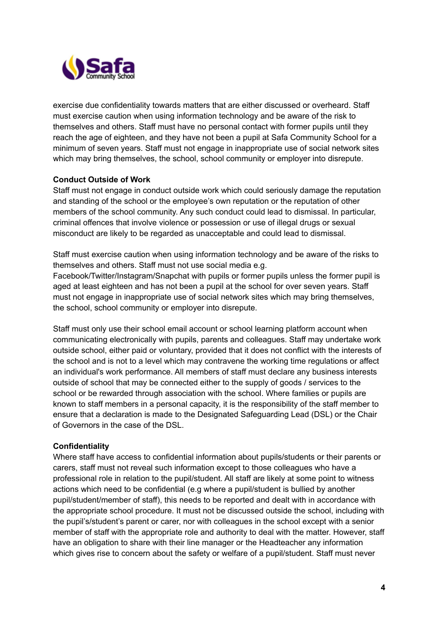

exercise due confidentiality towards matters that are either discussed or overheard. Staff must exercise caution when using information technology and be aware of the risk to themselves and others. Staff must have no personal contact with former pupils until they reach the age of eighteen, and they have not been a pupil at Safa Community School for a minimum of seven years. Staff must not engage in inappropriate use of social network sites which may bring themselves, the school, school community or employer into disrepute.

## **Conduct Outside of Work**

Staff must not engage in conduct outside work which could seriously damage the reputation and standing of the school or the employee's own reputation or the reputation of other members of the school community. Any such conduct could lead to dismissal. In particular, criminal offences that involve violence or possession or use of illegal drugs or sexual misconduct are likely to be regarded as unacceptable and could lead to dismissal.

Staff must exercise caution when using information technology and be aware of the risks to themselves and others. Staff must not use social media e.g.

Facebook/Twitter/Instagram/Snapchat with pupils or former pupils unless the former pupil is aged at least eighteen and has not been a pupil at the school for over seven years. Staff must not engage in inappropriate use of social network sites which may bring themselves, the school, school community or employer into disrepute.

Staff must only use their school email account or school learning platform account when communicating electronically with pupils, parents and colleagues. Staff may undertake work outside school, either paid or voluntary, provided that it does not conflict with the interests of the school and is not to a level which may contravene the working time regulations or affect an individual's work performance. All members of staff must declare any business interests outside of school that may be connected either to the supply of goods / services to the school or be rewarded through association with the school. Where families or pupils are known to staff members in a personal capacity, it is the responsibility of the staff member to ensure that a declaration is made to the Designated Safeguarding Lead (DSL) or the Chair of Governors in the case of the DSL.

#### **Confidentiality**

Where staff have access to confidential information about pupils/students or their parents or carers, staff must not reveal such information except to those colleagues who have a professional role in relation to the pupil/student. All staff are likely at some point to witness actions which need to be confidential (e.g where a pupil/student is bullied by another pupil/student/member of staff), this needs to be reported and dealt with in accordance with the appropriate school procedure. It must not be discussed outside the school, including with the pupil's/student's parent or carer, nor with colleagues in the school except with a senior member of staff with the appropriate role and authority to deal with the matter. However, staff have an obligation to share with their line manager or the Headteacher any information which gives rise to concern about the safety or welfare of a pupil/student. Staff must never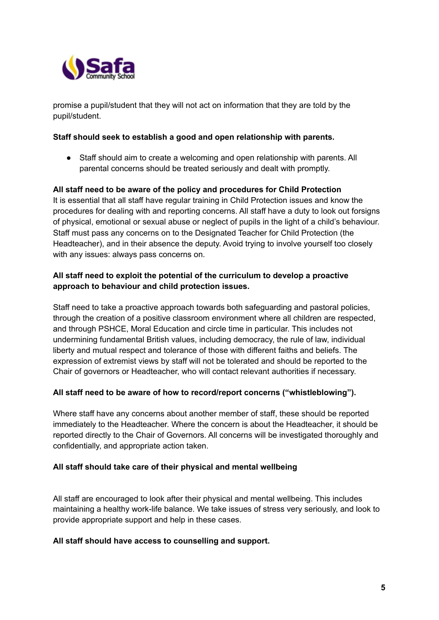

promise a pupil/student that they will not act on information that they are told by the pupil/student.

#### **Staff should seek to establish a good and open relationship with parents.**

● Staff should aim to create a welcoming and open relationship with parents. All parental concerns should be treated seriously and dealt with promptly.

## **All staff need to be aware of the policy and procedures for Child Protection**

It is essential that all staff have regular training in Child Protection issues and know the procedures for dealing with and reporting concerns. All staff have a duty to look out forsigns of physical, emotional or sexual abuse or neglect of pupils in the light of a child's behaviour. Staff must pass any concerns on to the Designated Teacher for Child Protection (the Headteacher), and in their absence the deputy. Avoid trying to involve yourself too closely with any issues: always pass concerns on.

## **All staff need to exploit the potential of the curriculum to develop a proactive approach to behaviour and child protection issues.**

Staff need to take a proactive approach towards both safeguarding and pastoral policies, through the creation of a positive classroom environment where all children are respected, and through PSHCE, Moral Education and circle time in particular. This includes not undermining fundamental British values, including democracy, the rule of law, individual liberty and mutual respect and tolerance of those with different faiths and beliefs. The expression of extremist views by staff will not be tolerated and should be reported to the Chair of governors or Headteacher, who will contact relevant authorities if necessary.

## **All staff need to be aware of how to record/report concerns ("whistleblowing").**

Where staff have any concerns about another member of staff, these should be reported immediately to the Headteacher. Where the concern is about the Headteacher, it should be reported directly to the Chair of Governors. All concerns will be investigated thoroughly and confidentially, and appropriate action taken.

#### **All staff should take care of their physical and mental wellbeing**

All staff are encouraged to look after their physical and mental wellbeing. This includes maintaining a healthy work-life balance. We take issues of stress very seriously, and look to provide appropriate support and help in these cases.

#### **All staff should have access to counselling and support.**